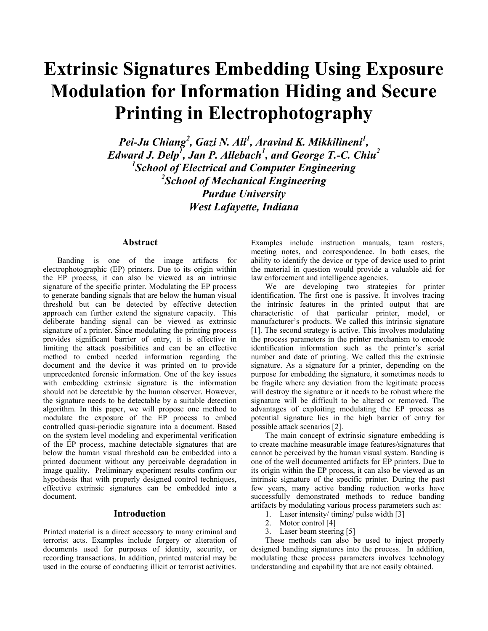# **Extrinsic Signatures Embedding Using Exposure Modulation for Information Hiding and Secure Printing in Electrophotography**

Pei-Ju Chiang<sup>2</sup>, Gazi N. Ali<sup>1</sup>, Aravind K. Mikkilineni<sup>1</sup>, *Edward J. Delp<sup>1</sup> , Jan P. Allebach<sup>1</sup> , and George T.-C. Chiu<sup>2</sup> 1 School of Electrical and Computer Engineering 2 School of Mechanical Engineering Purdue University West Lafayette, Indiana* 

# **Abstract**

Banding is one of the image artifacts for electrophotographic (EP) printers. Due to its origin within the EP process, it can also be viewed as an intrinsic signature of the specific printer. Modulating the EP process to generate banding signals that are below the human visual threshold but can be detected by effective detection approach can further extend the signature capacity. This deliberate banding signal can be viewed as extrinsic signature of a printer. Since modulating the printing process provides significant barrier of entry, it is effective in limiting the attack possibilities and can be an effective method to embed needed information regarding the document and the device it was printed on to provide unprecedented forensic information. One of the key issues with embedding extrinsic signature is the information should not be detectable by the human observer. However, the signature needs to be detectable by a suitable detection algorithm. In this paper, we will propose one method to modulate the exposure of the EP process to embed controlled quasi-periodic signature into a document. Based on the system level modeling and experimental verification of the EP process, machine detectable signatures that are below the human visual threshold can be embedded into a printed document without any perceivable degradation in image quality. Preliminary experiment results confirm our hypothesis that with properly designed control techniques, effective extrinsic signatures can be embedded into a document.

# **Introduction**

Printed material is a direct accessory to many criminal and terrorist acts. Examples include forgery or alteration of documents used for purposes of identity, security, or recording transactions. In addition, printed material may be used in the course of conducting illicit or terrorist activities.

Examples include instruction manuals, team rosters, meeting notes, and correspondence. In both cases, the ability to identify the device or type of device used to print the material in question would provide a valuable aid for law enforcement and intelligence agencies.

We are developing two strategies for printer identification. The first one is passive. It involves tracing the intrinsic features in the printed output that are characteristic of that particular printer, model, or manufacturer's products. We called this intrinsic signature [1]. The second strategy is active. This involves modulating the process parameters in the printer mechanism to encode identification information such as the printer's serial number and date of printing. We called this the extrinsic signature. As a signature for a printer, depending on the purpose for embedding the signature, it sometimes needs to be fragile where any deviation from the legitimate process will destroy the signature or it needs to be robust where the signature will be difficult to be altered or removed. The advantages of exploiting modulating the EP process as potential signature lies in the high barrier of entry for possible attack scenarios [2].

The main concept of extrinsic signature embedding is to create machine measurable image features/signatures that cannot be perceived by the human visual system. Banding is one of the well documented artifacts for EP printers. Due to its origin within the EP process, it can also be viewed as an intrinsic signature of the specific printer. During the past few years, many active banding reduction works have successfully demonstrated methods to reduce banding artifacts by modulating various process parameters such as:

- 1. Laser intensity/ timing/ pulse width [3]
- 2. Motor control [4]
- 3. Laser beam steering [5]

These methods can also be used to inject properly designed banding signatures into the process. In addition, modulating these process parameters involves technology understanding and capability that are not easily obtained.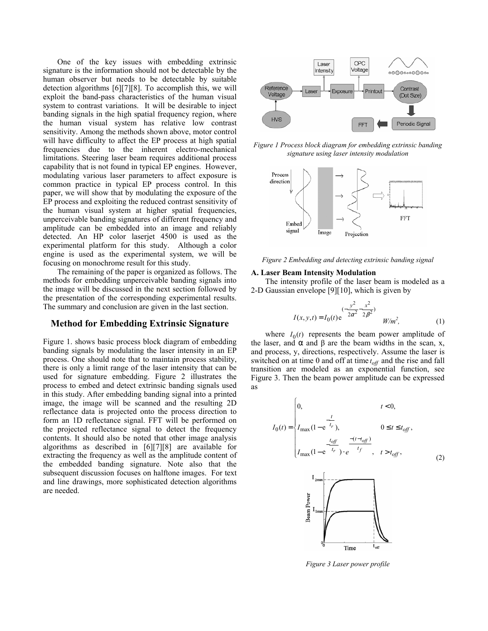One of the key issues with embedding extrinsic signature is the information should not be detectable by the human observer but needs to be detectable by suitable detection algorithms [6][7][8]. To accomplish this, we will exploit the band-pass characteristics of the human visual system to contrast variations. It will be desirable to inject banding signals in the high spatial frequency region, where the human visual system has relative low contrast sensitivity. Among the methods shown above, motor control will have difficulty to affect the EP process at high spatial frequencies due to the inherent electro-mechanical limitations. Steering laser beam requires additional process capability that is not found in typical EP engines. However, modulating various laser parameters to affect exposure is common practice in typical EP process control. In this paper, we will show that by modulating the exposure of the EP process and exploiting the reduced contrast sensitivity of the human visual system at higher spatial frequencies, unperceivable banding signatures of different frequency and amplitude can be embedded into an image and reliably detected. An HP color laserjet 4500 is used as the experimental platform for this study. Although a color engine is used as the experimental system, we will be focusing on monochrome result for this study.

The remaining of the paper is organized as follows. The methods for embedding unperceivable banding signals into the image will be discussed in the next section followed by the presentation of the corresponding experimental results. The summary and conclusion are given in the last section.

### **Method for Embedding Extrinsic Signature**

Figure 1. shows basic process block diagram of embedding banding signals by modulating the laser intensity in an EP process. One should note that to maintain process stability, there is only a limit range of the laser intensity that can be used for signature embedding. Figure 2 illustrates the process to embed and detect extrinsic banding signals used in this study. After embedding banding signal into a printed image, the image will be scanned and the resulting 2D reflectance data is projected onto the process direction to form an 1D reflectance signal. FFT will be performed on the projected reflectance signal to detect the frequency contents. It should also be noted that other image analysis algorithms as described in [6][7][8] are available for extracting the frequency as well as the amplitude content of the embedded banding signature. Note also that the subsequent discussion focuses on halftone images. For text and line drawings, more sophisticated detection algorithms are needed.



*Figure 1 Process block diagram for embedding extrinsic banding signature using laser intensity modulation* 



*Figure 2 Embedding and detecting extrinsic banding signal* 

#### **A. Laser Beam Intensity Modulation**

The intensity profile of the laser beam is modeled as a 2-D Gaussian envelope [9][10], which is given by

$$
I(x, y, t) = I_0(t) e^{(-\frac{y^2}{2\alpha^2} - \frac{x^2}{2\beta^2})}
$$
 W/m<sup>2</sup>, (1)

where  $I_0(t)$  represents the beam power amplitude of the laser, and  $\alpha$  and  $\beta$  are the beam widths in the scan, x, and process, y, directions, respectively. Assume the laser is switched on at time 0 and off at time  $t_{off}$  and the rise and fall transition are modeled as an exponential function, see Figure 3. Then the beam power amplitude can be expressed as

$$
I_0(t) = \begin{cases} 0, & t < 0, \\ I_{\max}(1 - e^{-\frac{t}{t_r}}), & 0 \le t \le t_{off}, \\ I_{\max}(1 - e^{-\frac{t_{off}}{t_r}}) \cdot e^{-\frac{t - (t - t_{off})}{t_f}}, & t > t_{off}, \end{cases}
$$
(2)



*Figure 3 Laser power profile*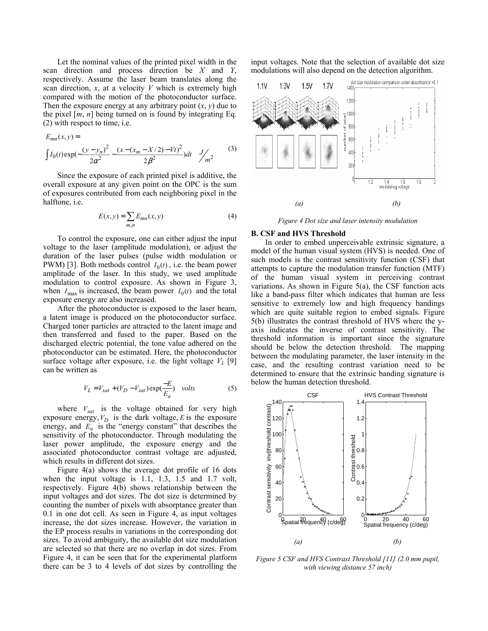Let the nominal values of the printed pixel width in the scan direction and process direction be *X* and *Y*, respectively. Assume the laser beam translates along the scan direction, *x*, at a velocity *V* which is extremely high compared with the motion of the photoconductor surface. Then the exposure energy at any arbitrary point  $(x, y)$  due to the pixel [*m*, *n*] being turned on is found by integrating Eq. (2) with respect to time, i.e.

$$
E_{mn}(x,y) =
$$
\n
$$
\int I_0(t) \exp(-\frac{(y-y_n)^2}{2\alpha^2} - \frac{(x - (x_m - X/2) - Vt)^2}{2\beta^2}) dt \frac{J}{m^2}
$$
\n(3)

Since the exposure of each printed pixel is additive, the overall exposure at any given point on the OPC is the sum of exposures contributed from each neighboring pixel in the halftone, i.e.

$$
E(x, y) = \sum_{m,n} E_{mn}(x, y)
$$
 (4)

To control the exposure, one can either adjust the input voltage to the laser (amplitude modulation), or adjust the duration of the laser pulses (pulse width modulation or PWM) [3]. Both methods control  $I_0(t)$ , i.e. the beam power amplitude of the laser. In this study, we used amplitude modulation to control exposure. As shown in Figure 3, when  $I_{\text{max}}$  is increased, the beam power  $I_0(t)$  and the total exposure energy are also increased.

After the photoconductor is exposed to the laser beam, a latent image is produced on the photoconductor surface. Charged toner particles are attracted to the latent image and then transferred and fused to the paper. Based on the discharged electric potential, the tone value adhered on the photoconductor can be estimated. Here, the photoconductor surface voltage after exposure, i.e. the light voltage  $V_L$  [9] can be written as

$$
V_L = V_{sat} + (V_D - V_{sat}) \exp(\frac{-E}{E_a}) \quad volts \tag{5}
$$

where  $V_{sat}$  is the voltage obtained for very high exposure energy,  $V_D$  is the dark voltage, *E* is the exposure energy, and  $E_a$  is the "energy constant" that describes the sensitivity of the photoconductor. Through modulating the laser power amplitude, the exposure energy and the associated photoconductor contrast voltage are adjusted, which results in different dot sizes.

Figure 4(a) shows the average dot profile of 16 dots when the input voltage is 1.1, 1.3, 1.5 and 1.7 volt, respectively. Figure 4(b) shows relationship between the input voltages and dot sizes. The dot size is determined by counting the number of pixels with absorptance greater than 0.1 in one dot cell. As seen in Figure 4, as input voltages increase, the dot sizes increase. However, the variation in the EP process results in variations in the corresponding dot sizes. To avoid ambiguity, the available dot size modulation are selected so that there are no overlap in dot sizes. From Figure 4, it can be seen that for the experimental platform there can be 3 to 4 levels of dot sizes by controlling the

input voltages. Note that the selection of available dot size modulations will also depend on the detection algorithm.



*Figure 4 Dot size and laser intensity modulation* 

#### **B. CSF and HVS Threshold**

In order to embed unperceivable extrinsic signature, a model of the human visual system (HVS) is needed. One of such models is the contrast sensitivity function (CSF) that attempts to capture the modulation transfer function (MTF) of the human visual system in perceiving contrast variations. As shown in Figure 5(a), the CSF function acts like a band-pass filter which indicates that human are less sensitive to extremely low and high frequency bandings which are quite suitable region to embed signals. Figure 5(b) illustrates the contrast threshold of HVS where the yaxis indicates the inverse of contrast sensitivity. The threshold information is important since the signature should be below the detection threshold. The mapping between the modulating parameter, the laser intensity in the case, and the resulting contrast variation need to be determined to ensure that the extrinsic banding signature is below the human detection threshold.



*Figure 5 CSF and HVS Contrast Threshold [11] (2.0 mm pupil, with viewing distance 57 inch)*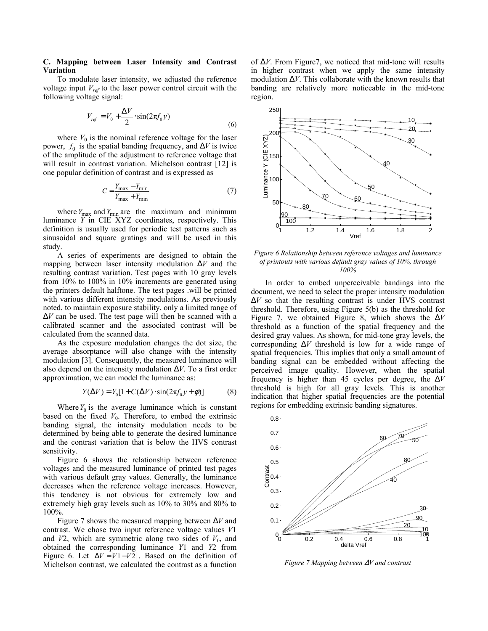### **C. Mapping between Laser Intensity and Contrast Variation**

To modulate laser intensity, we adjusted the reference voltage input *Vref* to the laser power control circuit with the following voltage signal:

$$
V_{ref} = V_0 + \frac{\Delta V}{2} \cdot \sin(2\pi f_0 y)
$$
\n(6)

where  $V_0$  is the nominal reference voltage for the laser power,  $f_0$  is the spatial banding frequency, and  $\Delta V$  is twice of the amplitude of the adjustment to reference voltage that will result in contrast variation. Michelson contrast [12] is one popular definition of contrast and is expressed as

$$
C = \frac{Y_{\text{max}} - Y_{\text{min}}}{Y_{\text{max}} + Y_{\text{min}}}
$$
(7)

where  $Y_{\text{max}}$  and  $Y_{\text{min}}$  are the maximum and minimum luminance *Y* in CIE XYZ coordinates, respectively. This definition is usually used for periodic test patterns such as sinusoidal and square gratings and will be used in this study.

A series of experiments are designed to obtain the mapping between laser intensity modulation ∆*V* and the resulting contrast variation. Test pages with 10 gray levels from 10% to 100% in 10% increments are generated using the printers default halftone. The test pages .will be printed with various different intensity modulations. As previously noted, to maintain exposure stability, only a limited range of ∆*V* can be used. The test page will then be scanned with a calibrated scanner and the associated contrast will be calculated from the scanned data.

As the exposure modulation changes the dot size, the average absorptance will also change with the intensity modulation [3]. Consequently, the measured luminance will also depend on the intensity modulation ∆*V*. To a first order approximation, we can model the luminance as:

$$
Y(\Delta V) = Y_0[1 + C(\Delta V) \cdot \sin(2\pi f_0 y + \phi)] \tag{8}
$$

Where  $Y_0$  is the average luminance which is constant based on the fixed  $V_0$ . Therefore, to embed the extrinsic banding signal, the intensity modulation needs to be determined by being able to generate the desired luminance and the contrast variation that is below the HVS contrast sensitivity.

Figure 6 shows the relationship between reference voltages and the measured luminance of printed test pages with various default gray values. Generally, the luminance decreases when the reference voltage increases. However, this tendency is not obvious for extremely low and extremely high gray levels such as 10% to 30% and 80% to 100%.

Figure 7 shows the measured mapping between ∆*V* and contrast. We chose two input reference voltage values *V*1 and  $V2$ , which are symmetric along two sides of  $V_0$ , and obtained the corresponding luminance *Y*1 and *Y*2 from Figure 6. Let  $\Delta V = |V1 - V2|$ . Based on the definition of Michelson contrast, we calculated the contrast as a function of ∆*V*. From Figure7, we noticed that mid-tone will results in higher contrast when we apply the same intensity modulation ∆*V*. This collaborate with the known results that banding are relatively more noticeable in the mid-tone region.



*Figure 6 Relationship between reference voltages and luminance of printouts with various default gray values of 10%, through 100%* 

In order to embed unperceivable bandings into the document, we need to select the proper intensity modulation ∆*V* so that the resulting contrast is under HVS contrast threshold. Therefore, using Figure 5(b) as the threshold for Figure 7, we obtained Figure 8, which shows the ∆*V* threshold as a function of the spatial frequency and the desired gray values. As shown, for mid-tone gray levels, the corresponding ∆*V* threshold is low for a wide range of spatial frequencies. This implies that only a small amount of banding signal can be embedded without affecting the perceived image quality. However, when the spatial frequency is higher than 45 cycles per degree, the ∆*V* threshold is high for all gray levels. This is another indication that higher spatial frequencies are the potential regions for embedding extrinsic banding signatures.



*Figure 7 Mapping between* ∆*V and contrast*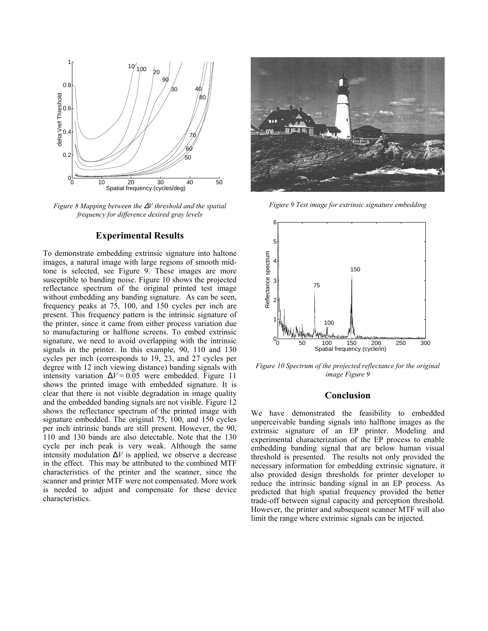

*Figure 8 Mapping between the* ∆*V threshold and the spatial frequency for difference desired gray levels* 

#### **Experimental Results**

To demonstrate embedding extrinsic signature into haltone images, a natural image with large regions of smooth midtone is selected, see Figure 9. These images are more susceptible to banding noise. Figure 10 shows the projected reflectance spectrum of the original printed test image without embedding any banding signature. As can be seen, frequency peaks at 75, 100, and 150 cycles per inch are present. This frequency pattern is the intrinsic signature of the printer, since it came from either process variation due to manufacturing or halftone screens. To embed extrinsic signature, we need to avoid overlapping with the intrinsic signals in the printer. In this example, 90, 110 and 130 cycles per inch (corresponds to 19, 23, and 27 cycles per degree with 12 inch viewing distance) banding signals with intensity variation  $\Delta V = 0.05$  were embedded. Figure 11 shows the printed image with embedded signature. It is clear that there is not visible degradation in image quality and the embedded banding signals are not visible. Figure 12 shows the reflectance spectrum of the printed image with signature embedded. The original 75, 100, and 150 cycles per inch intrinsic bands are still present. However, the 90, 110 and 130 bands are also detectable. Note that the 130 cycle per inch peak is very weak. Although the same intensity modulation  $\Delta V$  is applied, we observe a decrease in the effect. This may be attributed to the combined MTF characteristics of the printer and the scanner, since the scanner and printer MTF were not compensated. More work is needed to adjust and compensate for these device characteristics.



*Figure 9 Test image for extrinsic signature embedding* 



*Figure 10 Spectrum of the projected reflectance for the original image Figure 9* 

## **Conclusion**

We have demonstrated the feasibility to embedded unperceivable banding signals into halftone images as the extrinsic signature of an EP printer. Modeling and experimental characterization of the EP process to enable embedding banding signal that are below human visual threshold is presented. The results not only provided the necessary information for embedding extrinsic signature, it also provided design thresholds for printer developer to reduce the intrinsic banding signal in an EP process. As predicted that high spatial frequency provided the better trade-off between signal capacity and perception threshold. However, the printer and subsequent scanner MTF will also limit the range where extrinsic signals can be injected.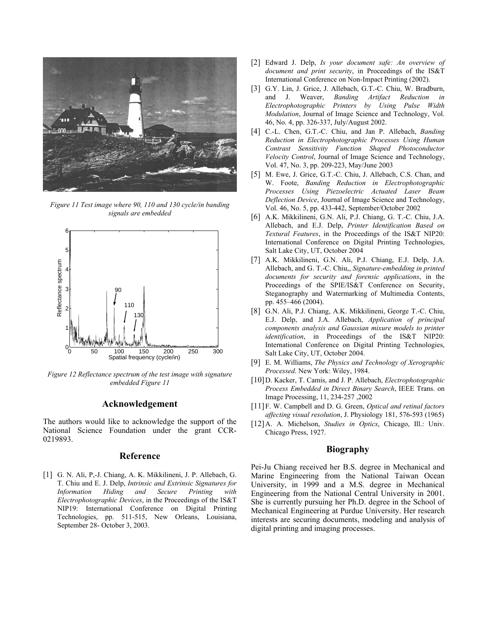

*Figure 11 Test image where 90, 110 and 130 cycle/in banding signals are embedded* 



*Figure 12 Reflectance spectrum of the test image with signature embedded Figure 11* 

# **Acknowledgement**

The authors would like to acknowledge the support of the National Science Foundation under the grant CCR-0219893.

# **Reference**

[1] G. N. Ali, P,-J. Chiang, A. K. Mikkilineni, J. P. Allebach, G. T. Chiu and E. J. Delp, *Intrinsic and Extrinsic Signatures for Information Hiding and Secure Printing with Electrophotographic Devices*, in the Proceedings of the IS&T NIP19: International Conference on Digital Printing Technologies, pp. 511-515, New Orleans, Louisiana, September 28- October 3, 2003.

- [2] Edward J. Delp, *Is your document safe: An overview of document and print security*, in Proceedings of the IS&T International Conference on Non-Impact Printing (2002).
- [3] G.Y. Lin, J. Grice, J. Allebach, G.T.-C. Chiu, W. Bradburn, and J. Weaver, *Banding Artifact Reduction in Electrophotographic Printers by Using Pulse Width Modulation*, Journal of Image Science and Technology, Vol. 46, No. 4, pp. 326-337, July/August 2002.
- [4] C.-L. Chen, G.T.-C. Chiu, and Jan P. Allebach, *Banding Reduction in Electrophotographic Processes Using Human Contrast Sensitivity Function Shaped Photoconductor Velocity Control*, Journal of Image Science and Technology, Vol. 47, No. 3, pp. 209-223, May/June 2003
- [5] M. Ewe, J. Grice, G.T.-C. Chiu, J. Allebach, C.S. Chan, and W. Foote, *Banding Reduction in Electrophotographic Processes Using Piezoelectric Actuated Laser Beam Deflection Device*, Journal of Image Science and Technology, Vol. 46, No. 5, pp. 433-442, September/October 2002
- [6] A.K. Mikkilineni, G.N. Ali, P.J. Chiang, G. T.-C. Chiu, J.A. Allebach, and E.J. Delp, *Printer Identification Based on Textural Features*, in the Proceedings of the IS&T NIP20: International Conference on Digital Printing Technologies, Salt Lake City, UT, October 2004
- [7] A.K. Mikkilineni, G.N. Ali, P.J. Chiang, E.J. Delp, J.A. Allebach, and G. T.-C. Chiu,, *Signature-embedding in printed documents for security and forensic applications*, in the Proceedings of the SPIE/IS&T Conference on Security, Steganography and Watermarking of Multimedia Contents, pp. 455–466 (2004).
- [8] G.N. Ali, P.J. Chiang, A.K. Mikkilineni, George T.-C. Chiu, E.J. Delp, and J.A. Allebach, *Application of principal components analysis and Gaussian mixure models to printer identification*, in Proceedings of the IS&T NIP20: International Conference on Digital Printing Technologies, Salt Lake City, UT, October 2004.
- [9] E. M. Williams, *The Physics and Technology of Xerographic Processed*. New York: Wiley, 1984.
- [10]D. Kacker, T. Camis, and J. P. Allebach, *Electrophotographic Process Embedded in Direct Binary Search*, IEEE Trans. on Image Processing, 11, 234-257 ,2002
- [11]F. W. Campbell and D. G. Green, *Optical and retinal factors affecting visual resolution*, J. Physiology 181, 576-593 (1965)
- [12]A. A. Michelson, *Studies in Optics*, Chicago, Ill.: Univ. Chicago Press, 1927.

#### **Biography**

Pei-Ju Chiang received her B.S. degree in Mechanical and Marine Engineering from the National Taiwan Ocean University, in 1999 and a M.S. degree in Mechanical Engineering from the National Central University in 2001. She is currently pursuing her Ph.D. degree in the School of Mechanical Engineering at Purdue University. Her research interests are securing documents, modeling and analysis of digital printing and imaging processes.